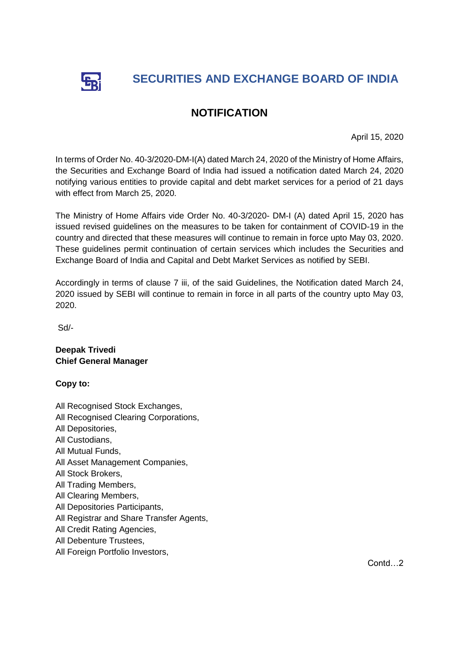

## **NOTIFICATION**

April 15, 2020

In terms of Order No. 40-3/2020-DM-I(A) dated March 24, 2020 of the Ministry of Home Affairs, the Securities and Exchange Board of India had issued a notification dated March 24, 2020 notifying various entities to provide capital and debt market services for a period of 21 days with effect from March 25, 2020.

The Ministry of Home Affairs vide Order No. 40-3/2020- DM-I (A) dated April 15, 2020 has issued revised guidelines on the measures to be taken for containment of COVID-19 in the country and directed that these measures will continue to remain in force upto May 03, 2020. These guidelines permit continuation of certain services which includes the Securities and Exchange Board of India and Capital and Debt Market Services as notified by SEBI.

Accordingly in terms of clause 7 iii, of the said Guidelines, the Notification dated March 24, 2020 issued by SEBI will continue to remain in force in all parts of the country upto May 03, 2020.

Sd/-

**Deepak Trivedi Chief General Manager**

**Copy to:**

- All Recognised Stock Exchanges,
- All Recognised Clearing Corporations,
- All Depositories,
- All Custodians,
- All Mutual Funds,
- All Asset Management Companies,
- All Stock Brokers,
- All Trading Members,
- All Clearing Members,
- All Depositories Participants,
- All Registrar and Share Transfer Agents,
- All Credit Rating Agencies,
- All Debenture Trustees,
- All Foreign Portfolio Investors,